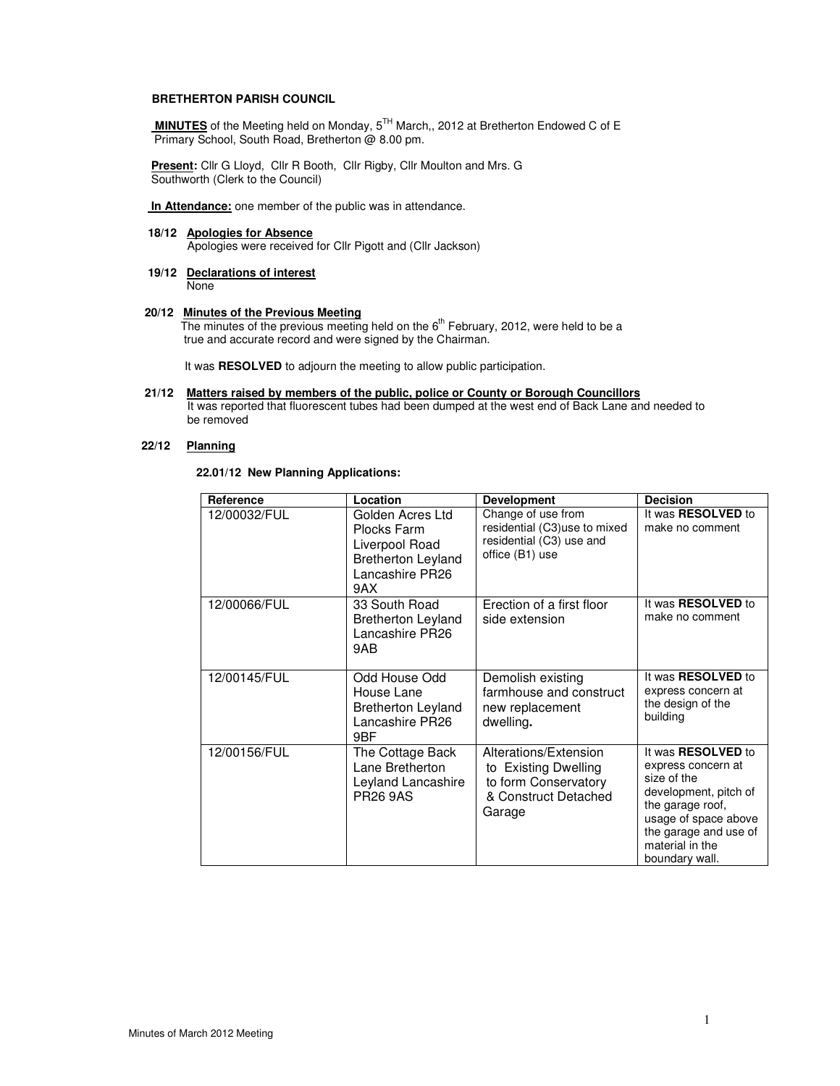#### **BRETHERTON PARISH COUNCIL**

 **MINUTES** of the Meeting held on Monday, 5TH March,, 2012 at Bretherton Endowed C of E Primary School, South Road, Bretherton @ 8.00 pm.

 **Present:** Cllr G Lloyd, Cllr R Booth, Cllr Rigby, Cllr Moulton and Mrs. G Southworth (Clerk to the Council)

 **In Attendance:** one member of the public was in attendance.

# **18/12 Apologies for Absence**

Apologies were received for Cllr Pigott and (Cllr Jackson)

# **19/12 Declarations of interest**

None

# **20/12 Minutes of the Previous Meeting**

**The minutes of the previous meeting held on the 6<sup>th</sup> February, 2012, were held to be a** true and accurate record and were signed by the Chairman.

It was **RESOLVED** to adjourn the meeting to allow public participation.

### **21/12 Matters raised by members of the public, police or County or Borough Councillors**

 It was reported that fluorescent tubes had been dumped at the west end of Back Lane and needed to be removed

## **22/12 Planning**

 **22.01/12 New Planning Applications:** 

| Reference    | Location                                                                                                  | <b>Development</b>                                                                                      | <b>Decision</b>                                                                                                                                                                                   |
|--------------|-----------------------------------------------------------------------------------------------------------|---------------------------------------------------------------------------------------------------------|---------------------------------------------------------------------------------------------------------------------------------------------------------------------------------------------------|
| 12/00032/FUL | Golden Acres Ltd<br>Plocks Farm<br>Liverpool Road<br><b>Bretherton Leyland</b><br>Lancashire PR26<br>9AX. | Change of use from<br>residential (C3)use to mixed<br>residential (C3) use and<br>office (B1) use       | It was <b>RESOLVED</b> to<br>make no comment                                                                                                                                                      |
| 12/00066/FUL | 33 South Road<br><b>Bretherton Leyland</b><br>Lancashire PR26<br>9AB                                      | Erection of a first floor<br>side extension                                                             | It was <b>RESOLVED</b> to<br>make no comment                                                                                                                                                      |
| 12/00145/FUL | Odd House Odd<br>House Lane<br><b>Bretherton Leyland</b><br>Lancashire PR26<br>9BF                        | Demolish existing<br>farmhouse and construct<br>new replacement<br>dwelling.                            | It was <b>RESOLVED</b> to<br>express concern at<br>the design of the<br>building                                                                                                                  |
| 12/00156/FUL | The Cottage Back<br>Lane Bretherton<br>Leyland Lancashire<br><b>PR26 9AS</b>                              | Alterations/Extension<br>to Existing Dwelling<br>to form Conservatory<br>& Construct Detached<br>Garage | It was <b>RESOLVED</b> to<br>express concern at<br>size of the<br>development, pitch of<br>the garage roof,<br>usage of space above<br>the garage and use of<br>material in the<br>boundary wall. |